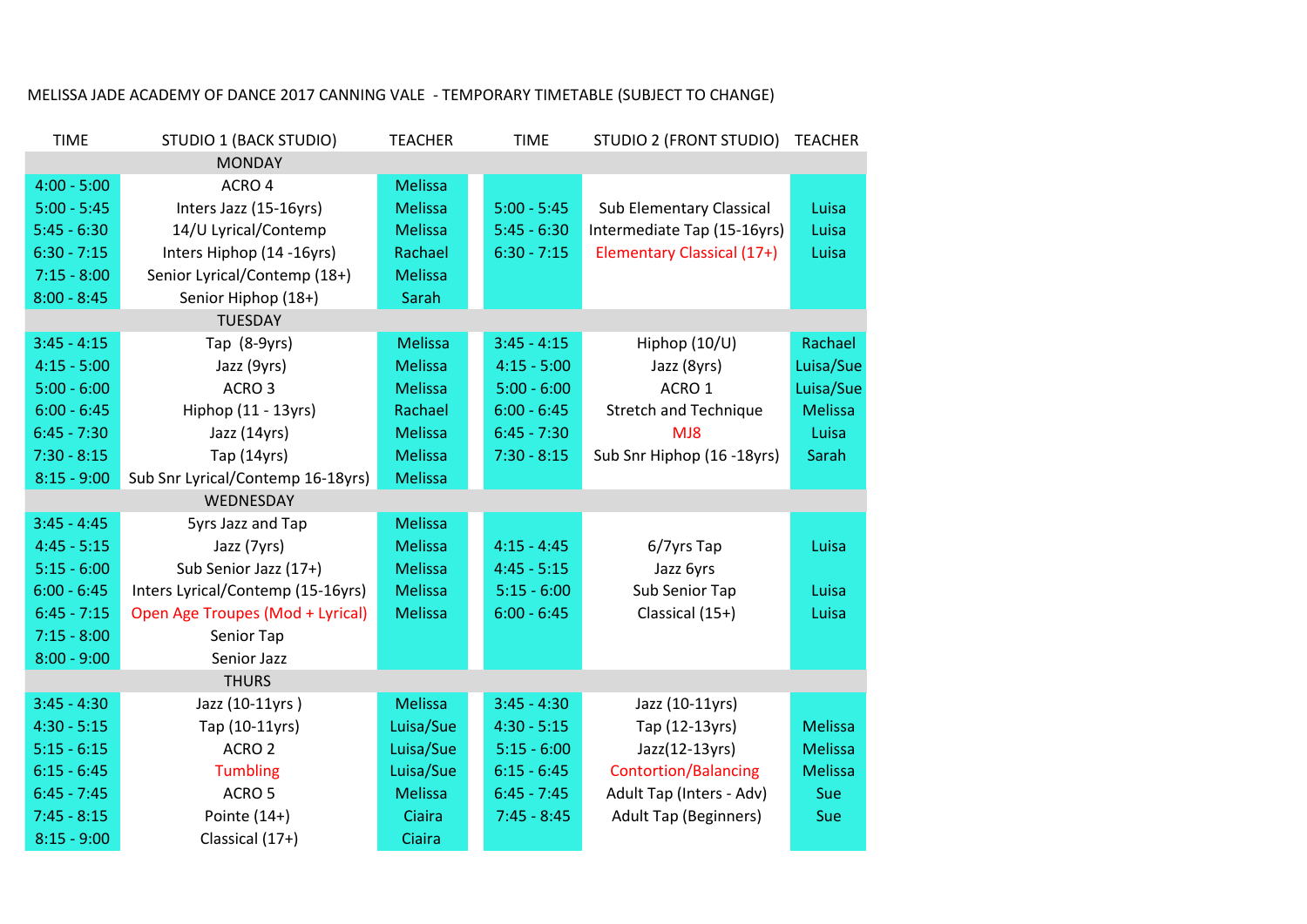| <b>TIME</b>   | <b>STUDIO 1 (BACK STUDIO)</b>     | <b>TEACHER</b> | <b>TIME</b>   | STUDIO 2 (FRONT STUDIO)         | <b>TEACHER</b> |
|---------------|-----------------------------------|----------------|---------------|---------------------------------|----------------|
|               |                                   |                |               |                                 |                |
| $4:00 - 5:00$ | ACRO 4                            | <b>Melissa</b> |               |                                 |                |
| $5:00 - 5:45$ | Inters Jazz (15-16yrs)            | <b>Melissa</b> | $5:00 - 5:45$ | <b>Sub Elementary Classical</b> | Luisa          |
| $5:45 - 6:30$ | 14/U Lyrical/Contemp              | <b>Melissa</b> | $5:45 - 6:30$ | Intermediate Tap (15-16yrs)     | Luisa          |
| $6:30 - 7:15$ | Inters Hiphop (14 -16yrs)         | Rachael        | $6:30 - 7:15$ | Elementary Classical (17+)      | Luisa          |
| $7:15 - 8:00$ | Senior Lyrical/Contemp (18+)      | <b>Melissa</b> |               |                                 |                |
| $8:00 - 8:45$ | Senior Hiphop (18+)               | Sarah          |               |                                 |                |
|               | <b>TUESDAY</b>                    |                |               |                                 |                |
| $3:45 - 4:15$ | Tap (8-9yrs)                      | <b>Melissa</b> | $3:45 - 4:15$ | Hiphop (10/U)                   | Rachael        |
| $4:15 - 5:00$ | Jazz (9yrs)                       | <b>Melissa</b> | $4:15 - 5:00$ | Jazz (8yrs)                     | Luisa/Sue      |
| $5:00 - 6:00$ | ACRO <sub>3</sub>                 | <b>Melissa</b> | $5:00 - 6:00$ | ACRO <sub>1</sub>               | Luisa/Sue      |
| $6:00 - 6:45$ | Hiphop (11 - 13yrs)               | Rachael        | $6:00 - 6:45$ | <b>Stretch and Technique</b>    | <b>Melissa</b> |
| $6:45 - 7:30$ | Jazz (14yrs)                      | <b>Melissa</b> | $6:45 - 7:30$ | MJ8                             | Luisa          |
| $7:30 - 8:15$ | Tap (14yrs)                       | <b>Melissa</b> | $7:30 - 8:15$ | Sub Snr Hiphop (16 -18yrs)      | Sarah          |
| $8:15 - 9:00$ | Sub Snr Lyrical/Contemp 16-18yrs) | <b>Melissa</b> |               |                                 |                |
|               | WEDNESDAY                         |                |               |                                 |                |
| $3:45 - 4:45$ | 5yrs Jazz and Tap                 | <b>Melissa</b> |               |                                 |                |
| $4:45 - 5:15$ | Jazz (7yrs)                       | <b>Melissa</b> | $4:15 - 4:45$ | 6/7yrs Tap                      | Luisa          |
| $5:15 - 6:00$ | Sub Senior Jazz (17+)             | <b>Melissa</b> | $4:45 - 5:15$ | Jazz 6yrs                       |                |
| $6:00 - 6:45$ | Inters Lyrical/Contemp (15-16yrs) | <b>Melissa</b> | $5:15 - 6:00$ | Sub Senior Tap                  | Luisa          |
| $6:45 - 7:15$ | Open Age Troupes (Mod + Lyrical)  | <b>Melissa</b> | $6:00 - 6:45$ | Classical (15+)                 | Luisa          |
| $7:15 - 8:00$ | Senior Tap                        |                |               |                                 |                |
| $8:00 - 9:00$ | Senior Jazz                       |                |               |                                 |                |
|               | <b>THURS</b>                      |                |               |                                 |                |
| $3:45 - 4:30$ | Jazz (10-11yrs)                   | <b>Melissa</b> | $3:45 - 4:30$ | Jazz (10-11yrs)                 |                |
| $4:30 - 5:15$ | Tap (10-11yrs)                    | Luisa/Sue      | $4:30 - 5:15$ | Tap (12-13yrs)                  | <b>Melissa</b> |
| $5:15 - 6:15$ | ACRO <sub>2</sub>                 | Luisa/Sue      | $5:15 - 6:00$ | Jazz(12-13yrs)                  | <b>Melissa</b> |
| $6:15 - 6:45$ | <b>Tumbling</b>                   | Luisa/Sue      | $6:15 - 6:45$ | <b>Contortion/Balancing</b>     | <b>Melissa</b> |
| $6:45 - 7:45$ | ACRO <sub>5</sub>                 | <b>Melissa</b> | $6:45 - 7:45$ | Adult Tap (Inters - Adv)        | Sue            |
| $7:45 - 8:15$ | Pointe $(14+)$                    | Ciaira         | $7:45 - 8:45$ | <b>Adult Tap (Beginners)</b>    | Sue            |
| $8:15 - 9:00$ | Classical (17+)                   | Ciaira         |               |                                 |                |

## MELISSA JADE ACADEMY OF DANCE 2017 CANNING VALE - TEMPORARY TIMETABLE (SUBJECT TO CHANGE)